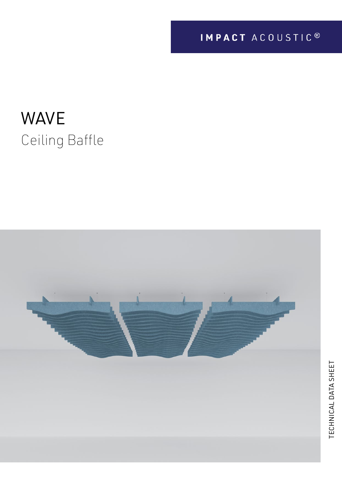# WAVE Ceiling Baffle

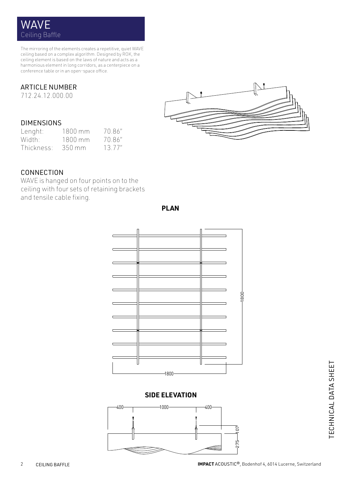# WAVE Ceiling Baffle

The mirroring of the elements creates a repetitive, quiet WAVE ceiling based on a complex algorithm. Designed by ROK, the ceiling element is based on the laws of nature and acts as a harmonious element in long corridors, as a centerpiece on a conference table or in an open-space office.

#### ARTICLE NUMBER

712.24.12.000.00

#### DIMENSIONS

| Lenght:    | $1800$ mm | 70.86"  |
|------------|-----------|---------|
| Width:     | 1800 mm   | 70.86"  |
| Thickness: | 350 mm    | 13.77'' |



#### CONNECTION

and tensile cable fixing. WAVE is hanged on four points on to the ceiling with four sets of retaining brackets

| œ<br>倾  |         |
|---------|---------|
|         |         |
|         |         |
|         | $-1800$ |
|         |         |
|         |         |
| œ<br>図  |         |
|         |         |
|         |         |
| $-1800$ |         |

**PLAN**

#### **SIDE ELEVATION**



TECHNICAL DATA SHEET TECHNICAL DATA SHEET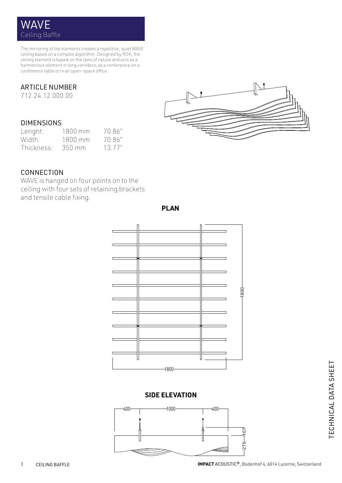# WAVE Ceiling Baffle

The mirroring of the elements creates a repetitive, quiet WAVE ceiling based on a complex algorithm. Designed by ROK, the ceiling element is based on the laws of nature and acts as a harmonious element in long corridors, as a centerpiece on a conference table or in an open-space office.

#### ARTICLE NUMBER

712.24.12.000.00

#### DIMENSIONS

| Lenght:    | $1800$ mm | 70.86"  |
|------------|-----------|---------|
| Width:     | 1800 mm   | 70.86"  |
| Thickness: | 350 mm    | 13.77'' |



#### CONNECTION

and tensile cable fixing. WAVE is hanged on four points on to the ceiling with four sets of retaining brackets

| W<br>ЪĒ |         |
|---------|---------|
|         |         |
|         |         |
|         |         |
|         | $-1800$ |
|         |         |
|         |         |
|         |         |
| M<br>M  |         |
|         |         |
|         |         |
|         |         |
|         |         |
| $-1800$ |         |

**PLAN**

#### **SIDE ELEVATION**



TECHNICAL DATA SHEET TECHNICAL DATA SHEET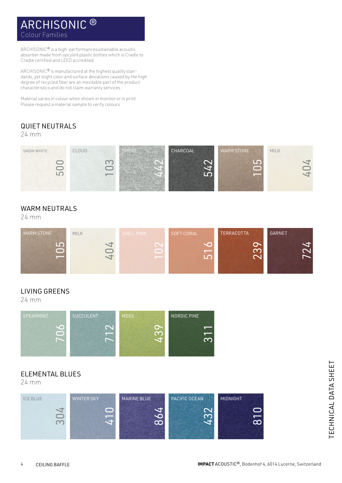# ARCHISONIC ® Colour Families

ARCHISONIC® is a high-performancesustainable acoustic absorber made from upcyled plastic bottles which is Cradle to Cradle certified and LEED accredited.

ARCHISONIC® is manufactured at the highest quality standards, yet slight color and surface deviations caused by the high degree of recycled fiber are an inevitable part of the product characteristics and do not claim warranty services.

Material varies in colour when shown in monitor or in print. Please request a material sample to verify colours.

### QUIET NEUTRALS

24 mm



#### WARM NEUTRALS

24 mm



#### LIVING GREENS

24 mm



#### ELEMENTAL BLUES

24 mm

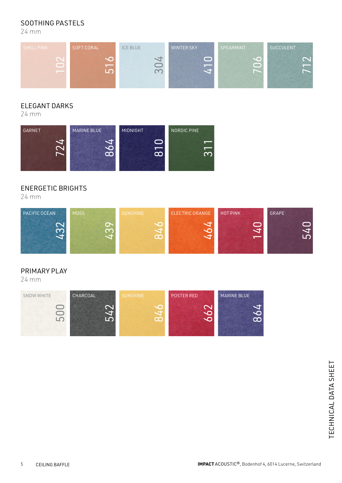#### SOOTHING PASTELS

24 mm



#### ELEGANT DARKS

24 mm



#### ENERGETIC BRIGHTS

24 mm



#### PRIMARY PLAY

24 mm